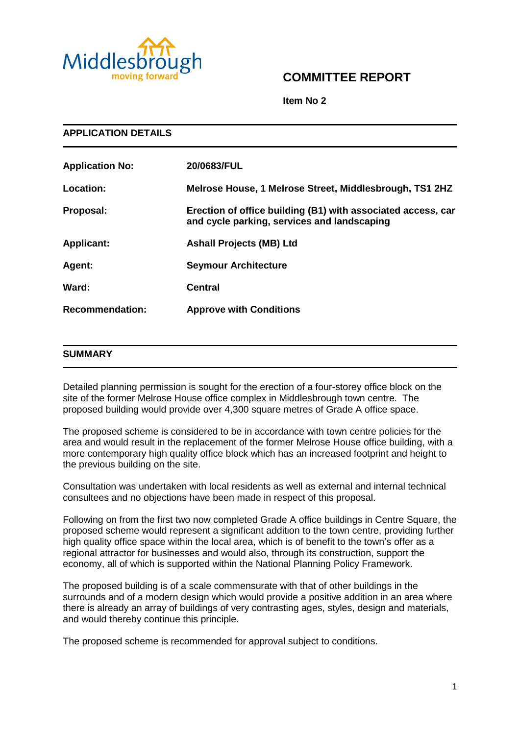

# **COMMITTEE REPORT**

**Item No 2**

| <b>APPLICATION DETAILS</b> |                                                                                                             |
|----------------------------|-------------------------------------------------------------------------------------------------------------|
| <b>Application No:</b>     | 20/0683/FUL                                                                                                 |
| <b>Location:</b>           | Melrose House, 1 Melrose Street, Middlesbrough, TS1 2HZ                                                     |
| Proposal:                  | Erection of office building (B1) with associated access, car<br>and cycle parking, services and landscaping |
| <b>Applicant:</b>          | <b>Ashall Projects (MB) Ltd</b>                                                                             |
| Agent:                     | <b>Seymour Architecture</b>                                                                                 |
| Ward:                      | <b>Central</b>                                                                                              |
| <b>Recommendation:</b>     | <b>Approve with Conditions</b>                                                                              |

#### **SUMMARY**

Detailed planning permission is sought for the erection of a four-storey office block on the site of the former Melrose House office complex in Middlesbrough town centre. The proposed building would provide over 4,300 square metres of Grade A office space.

The proposed scheme is considered to be in accordance with town centre policies for the area and would result in the replacement of the former Melrose House office building, with a more contemporary high quality office block which has an increased footprint and height to the previous building on the site.

Consultation was undertaken with local residents as well as external and internal technical consultees and no objections have been made in respect of this proposal.

Following on from the first two now completed Grade A office buildings in Centre Square, the proposed scheme would represent a significant addition to the town centre, providing further high quality office space within the local area, which is of benefit to the town's offer as a regional attractor for businesses and would also, through its construction, support the economy, all of which is supported within the National Planning Policy Framework.

The proposed building is of a scale commensurate with that of other buildings in the surrounds and of a modern design which would provide a positive addition in an area where there is already an array of buildings of very contrasting ages, styles, design and materials, and would thereby continue this principle.

The proposed scheme is recommended for approval subject to conditions.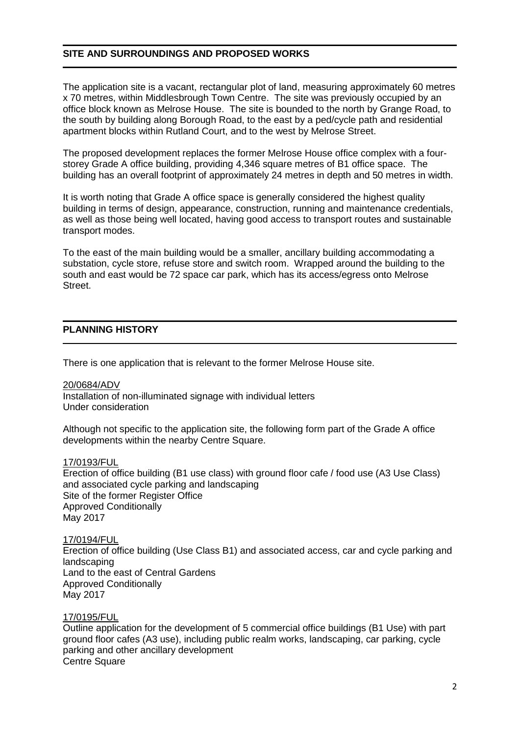# **SITE AND SURROUNDINGS AND PROPOSED WORKS**

The application site is a vacant, rectangular plot of land, measuring approximately 60 metres x 70 metres, within Middlesbrough Town Centre. The site was previously occupied by an office block known as Melrose House. The site is bounded to the north by Grange Road, to the south by building along Borough Road, to the east by a ped/cycle path and residential apartment blocks within Rutland Court, and to the west by Melrose Street.

The proposed development replaces the former Melrose House office complex with a fourstorey Grade A office building, providing 4,346 square metres of B1 office space. The building has an overall footprint of approximately 24 metres in depth and 50 metres in width.

It is worth noting that Grade A office space is generally considered the highest quality building in terms of design, appearance, construction, running and maintenance credentials, as well as those being well located, having good access to transport routes and sustainable transport modes.

To the east of the main building would be a smaller, ancillary building accommodating a substation, cycle store, refuse store and switch room. Wrapped around the building to the south and east would be 72 space car park, which has its access/egress onto Melrose Street.

# **PLANNING HISTORY**

There is one application that is relevant to the former Melrose House site.

20/0684/ADV Installation of non-illuminated signage with individual letters Under consideration

Although not specific to the application site, the following form part of the Grade A office developments within the nearby Centre Square.

#### 17/0193/FUL

Erection of office building (B1 use class) with ground floor cafe / food use (A3 Use Class) and associated cycle parking and landscaping Site of the former Register Office Approved Conditionally May 2017

17/0194/FUL

Erection of office building (Use Class B1) and associated access, car and cycle parking and landscaping Land to the east of Central Gardens Approved Conditionally May 2017

17/0195/FUL

Outline application for the development of 5 commercial office buildings (B1 Use) with part ground floor cafes (A3 use), including public realm works, landscaping, car parking, cycle parking and other ancillary development Centre Square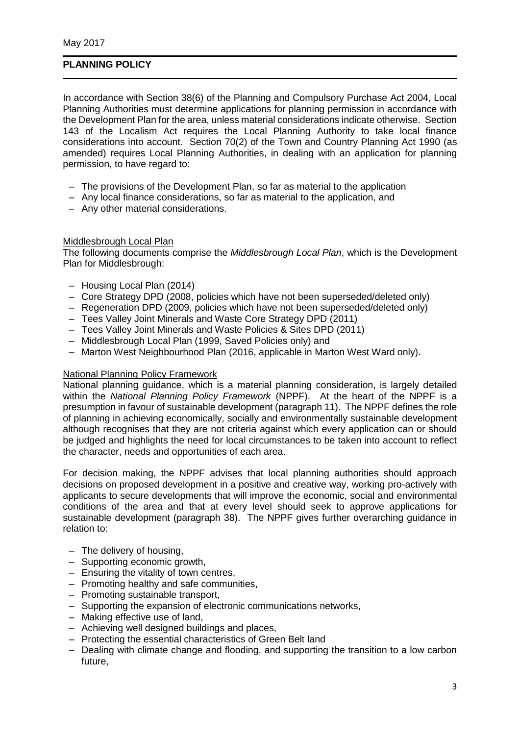# **PLANNING POLICY**

In accordance with Section 38(6) of the Planning and Compulsory Purchase Act 2004, Local Planning Authorities must determine applications for planning permission in accordance with the Development Plan for the area, unless material considerations indicate otherwise. Section 143 of the Localism Act requires the Local Planning Authority to take local finance considerations into account. Section 70(2) of the Town and Country Planning Act 1990 (as amended) requires Local Planning Authorities, in dealing with an application for planning permission, to have regard to:

- The provisions of the Development Plan, so far as material to the application
- Any local finance considerations, so far as material to the application, and
- Any other material considerations.

#### Middlesbrough Local Plan

The following documents comprise the *Middlesbrough Local Plan*, which is the Development Plan for Middlesbrough:

- Housing Local Plan (2014)
- Core Strategy DPD (2008, policies which have not been superseded/deleted only)
- Regeneration DPD (2009, policies which have not been superseded/deleted only)
- Tees Valley Joint Minerals and Waste Core Strategy DPD (2011)
- Tees Valley Joint Minerals and Waste Policies & Sites DPD (2011)
- Middlesbrough Local Plan (1999, Saved Policies only) and
- Marton West Neighbourhood Plan (2016, applicable in Marton West Ward only).

#### National Planning Policy Framework

National planning guidance, which is a material planning consideration, is largely detailed within the *National Planning Policy Framework* (NPPF). At the heart of the NPPF is a presumption in favour of sustainable development (paragraph 11). The NPPF defines the role of planning in achieving economically, socially and environmentally sustainable development although recognises that they are not criteria against which every application can or should be judged and highlights the need for local circumstances to be taken into account to reflect the character, needs and opportunities of each area.

For decision making, the NPPF advises that local planning authorities should approach decisions on proposed development in a positive and creative way, working pro-actively with applicants to secure developments that will improve the economic, social and environmental conditions of the area and that at every level should seek to approve applications for sustainable development (paragraph 38). The NPPF gives further overarching guidance in relation to:

- The delivery of housing,
- Supporting economic growth,
- Ensuring the vitality of town centres,
- Promoting healthy and safe communities,
- Promoting sustainable transport,
- Supporting the expansion of electronic communications networks,
- Making effective use of land,
- Achieving well designed buildings and places,
- Protecting the essential characteristics of Green Belt land
- Dealing with climate change and flooding, and supporting the transition to a low carbon future,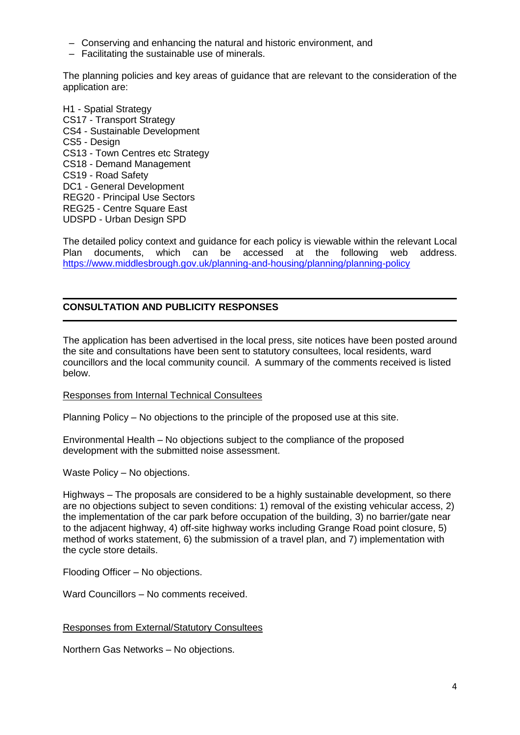- Conserving and enhancing the natural and historic environment, and
- Facilitating the sustainable use of minerals.

The planning policies and key areas of guidance that are relevant to the consideration of the application are:

H1 - Spatial Strategy CS17 - Transport Strategy CS4 - Sustainable Development CS5 - Design CS13 - Town Centres etc Strategy CS18 - Demand Management CS19 - Road Safety DC1 - General Development REG20 - Principal Use Sectors REG25 - Centre Square East UDSPD - Urban Design SPD

The detailed policy context and guidance for each policy is viewable within the relevant Local Plan documents, which can be accessed at the following web address. <https://www.middlesbrough.gov.uk/planning-and-housing/planning/planning-policy>

## **CONSULTATION AND PUBLICITY RESPONSES**

The application has been advertised in the local press, site notices have been posted around the site and consultations have been sent to statutory consultees, local residents, ward councillors and the local community council. A summary of the comments received is listed below.

#### Responses from Internal Technical Consultees

Planning Policy – No objections to the principle of the proposed use at this site.

Environmental Health – No objections subject to the compliance of the proposed development with the submitted noise assessment.

Waste Policy – No objections.

Highways – The proposals are considered to be a highly sustainable development, so there are no objections subject to seven conditions: 1) removal of the existing vehicular access, 2) the implementation of the car park before occupation of the building, 3) no barrier/gate near to the adjacent highway, 4) off-site highway works including Grange Road point closure, 5) method of works statement, 6) the submission of a travel plan, and 7) implementation with the cycle store details.

Flooding Officer – No objections.

Ward Councillors – No comments received.

#### Responses from External/Statutory Consultees

Northern Gas Networks – No objections.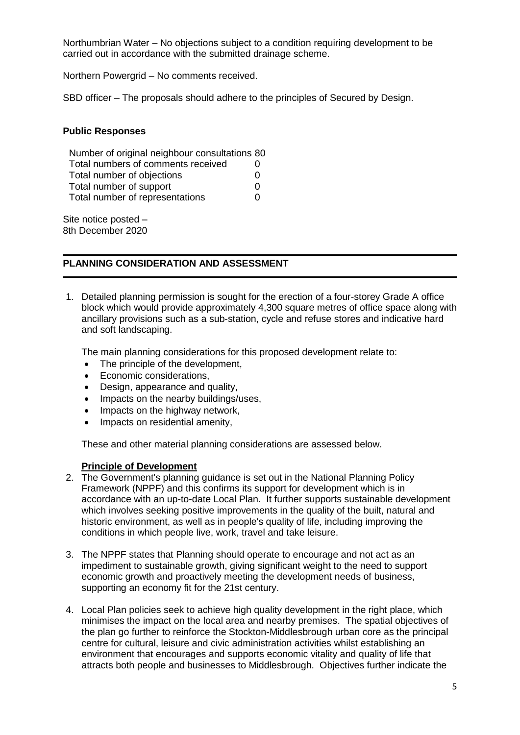Northumbrian Water – No objections subject to a condition requiring development to be carried out in accordance with the submitted drainage scheme.

Northern Powergrid – No comments received.

SBD officer – The proposals should adhere to the principles of Secured by Design.

#### **Public Responses**

| Number of original neighbour consultations 80 |   |
|-----------------------------------------------|---|
| Total numbers of comments received            | 0 |
| Total number of objections                    | O |
| Total number of support                       | O |
| Total number of representations               | O |

Site notice posted – 8th December 2020

#### **PLANNING CONSIDERATION AND ASSESSMENT**

1. Detailed planning permission is sought for the erection of a four-storey Grade A office block which would provide approximately 4,300 square metres of office space along with ancillary provisions such as a sub-station, cycle and refuse stores and indicative hard and soft landscaping.

The main planning considerations for this proposed development relate to:

- The principle of the development,
- Economic considerations.
- Design, appearance and quality,
- Impacts on the nearby buildings/uses,
- Impacts on the highway network,
- Impacts on residential amenity,

These and other material planning considerations are assessed below.

#### **Principle of Development**

- 2. The Government's planning guidance is set out in the National Planning Policy Framework (NPPF) and this confirms its support for development which is in accordance with an up-to-date Local Plan. It further supports sustainable development which involves seeking positive improvements in the quality of the built, natural and historic environment, as well as in people's quality of life, including improving the conditions in which people live, work, travel and take leisure.
- 3. The NPPF states that Planning should operate to encourage and not act as an impediment to sustainable growth, giving significant weight to the need to support economic growth and proactively meeting the development needs of business, supporting an economy fit for the 21st century.
- 4. Local Plan policies seek to achieve high quality development in the right place, which minimises the impact on the local area and nearby premises. The spatial objectives of the plan go further to reinforce the Stockton-Middlesbrough urban core as the principal centre for cultural, leisure and civic administration activities whilst establishing an environment that encourages and supports economic vitality and quality of life that attracts both people and businesses to Middlesbrough. Objectives further indicate the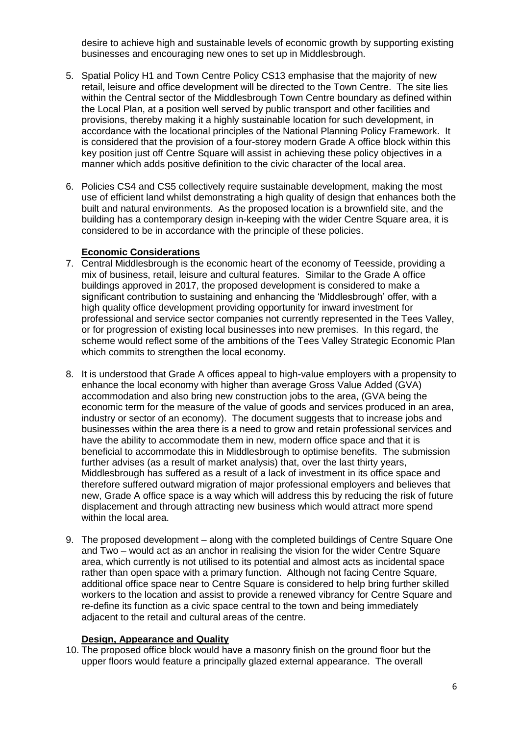desire to achieve high and sustainable levels of economic growth by supporting existing businesses and encouraging new ones to set up in Middlesbrough.

- 5. Spatial Policy H1 and Town Centre Policy CS13 emphasise that the majority of new retail, leisure and office development will be directed to the Town Centre. The site lies within the Central sector of the Middlesbrough Town Centre boundary as defined within the Local Plan, at a position well served by public transport and other facilities and provisions, thereby making it a highly sustainable location for such development, in accordance with the locational principles of the National Planning Policy Framework. It is considered that the provision of a four-storey modern Grade A office block within this key position just off Centre Square will assist in achieving these policy objectives in a manner which adds positive definition to the civic character of the local area.
- 6. Policies CS4 and CS5 collectively require sustainable development, making the most use of efficient land whilst demonstrating a high quality of design that enhances both the built and natural environments. As the proposed location is a brownfield site, and the building has a contemporary design in-keeping with the wider Centre Square area, it is considered to be in accordance with the principle of these policies.

#### **Economic Considerations**

- 7. Central Middlesbrough is the economic heart of the economy of Teesside, providing a mix of business, retail, leisure and cultural features. Similar to the Grade A office buildings approved in 2017, the proposed development is considered to make a significant contribution to sustaining and enhancing the 'Middlesbrough' offer, with a high quality office development providing opportunity for inward investment for professional and service sector companies not currently represented in the Tees Valley, or for progression of existing local businesses into new premises. In this regard, the scheme would reflect some of the ambitions of the Tees Valley Strategic Economic Plan which commits to strengthen the local economy.
- 8. It is understood that Grade A offices appeal to high-value employers with a propensity to enhance the local economy with higher than average Gross Value Added (GVA) accommodation and also bring new construction jobs to the area, (GVA being the economic term for the measure of the value of goods and services produced in an area, industry or sector of an economy). The document suggests that to increase jobs and businesses within the area there is a need to grow and retain professional services and have the ability to accommodate them in new, modern office space and that it is beneficial to accommodate this in Middlesbrough to optimise benefits. The submission further advises (as a result of market analysis) that, over the last thirty years, Middlesbrough has suffered as a result of a lack of investment in its office space and therefore suffered outward migration of major professional employers and believes that new, Grade A office space is a way which will address this by reducing the risk of future displacement and through attracting new business which would attract more spend within the local area.
- 9. The proposed development along with the completed buildings of Centre Square One and Two – would act as an anchor in realising the vision for the wider Centre Square area, which currently is not utilised to its potential and almost acts as incidental space rather than open space with a primary function. Although not facing Centre Square, additional office space near to Centre Square is considered to help bring further skilled workers to the location and assist to provide a renewed vibrancy for Centre Square and re-define its function as a civic space central to the town and being immediately adjacent to the retail and cultural areas of the centre.

#### **Design, Appearance and Quality**

10. The proposed office block would have a masonry finish on the ground floor but the upper floors would feature a principally glazed external appearance. The overall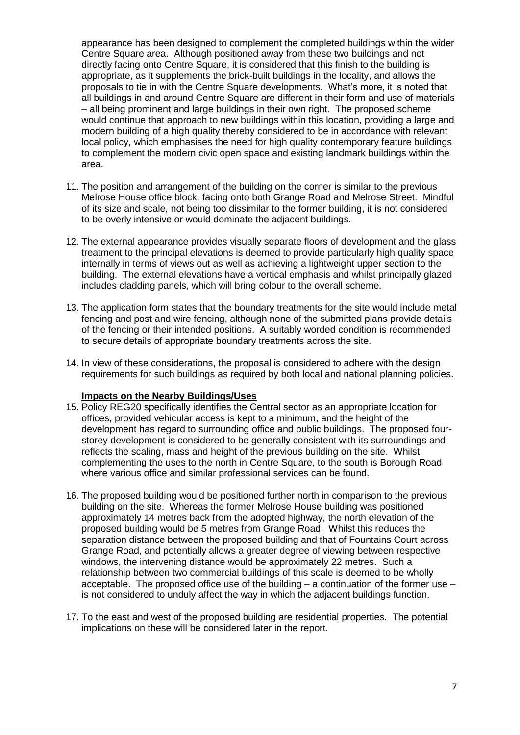appearance has been designed to complement the completed buildings within the wider Centre Square area. Although positioned away from these two buildings and not directly facing onto Centre Square, it is considered that this finish to the building is appropriate, as it supplements the brick-built buildings in the locality, and allows the proposals to tie in with the Centre Square developments. What's more, it is noted that all buildings in and around Centre Square are different in their form and use of materials – all being prominent and large buildings in their own right. The proposed scheme would continue that approach to new buildings within this location, providing a large and modern building of a high quality thereby considered to be in accordance with relevant local policy, which emphasises the need for high quality contemporary feature buildings to complement the modern civic open space and existing landmark buildings within the area.

- 11. The position and arrangement of the building on the corner is similar to the previous Melrose House office block, facing onto both Grange Road and Melrose Street. Mindful of its size and scale, not being too dissimilar to the former building, it is not considered to be overly intensive or would dominate the adjacent buildings.
- 12. The external appearance provides visually separate floors of development and the glass treatment to the principal elevations is deemed to provide particularly high quality space internally in terms of views out as well as achieving a lightweight upper section to the building. The external elevations have a vertical emphasis and whilst principally glazed includes cladding panels, which will bring colour to the overall scheme.
- 13. The application form states that the boundary treatments for the site would include metal fencing and post and wire fencing, although none of the submitted plans provide details of the fencing or their intended positions. A suitably worded condition is recommended to secure details of appropriate boundary treatments across the site.
- 14. In view of these considerations, the proposal is considered to adhere with the design requirements for such buildings as required by both local and national planning policies.

#### **Impacts on the Nearby Buildings/Uses**

- 15. Policy REG20 specifically identifies the Central sector as an appropriate location for offices, provided vehicular access is kept to a minimum, and the height of the development has regard to surrounding office and public buildings. The proposed fourstorey development is considered to be generally consistent with its surroundings and reflects the scaling, mass and height of the previous building on the site. Whilst complementing the uses to the north in Centre Square, to the south is Borough Road where various office and similar professional services can be found.
- 16. The proposed building would be positioned further north in comparison to the previous building on the site. Whereas the former Melrose House building was positioned approximately 14 metres back from the adopted highway, the north elevation of the proposed building would be 5 metres from Grange Road. Whilst this reduces the separation distance between the proposed building and that of Fountains Court across Grange Road, and potentially allows a greater degree of viewing between respective windows, the intervening distance would be approximately 22 metres. Such a relationship between two commercial buildings of this scale is deemed to be wholly acceptable. The proposed office use of the building  $-$  a continuation of the former use  $$ is not considered to unduly affect the way in which the adjacent buildings function.
- 17. To the east and west of the proposed building are residential properties. The potential implications on these will be considered later in the report.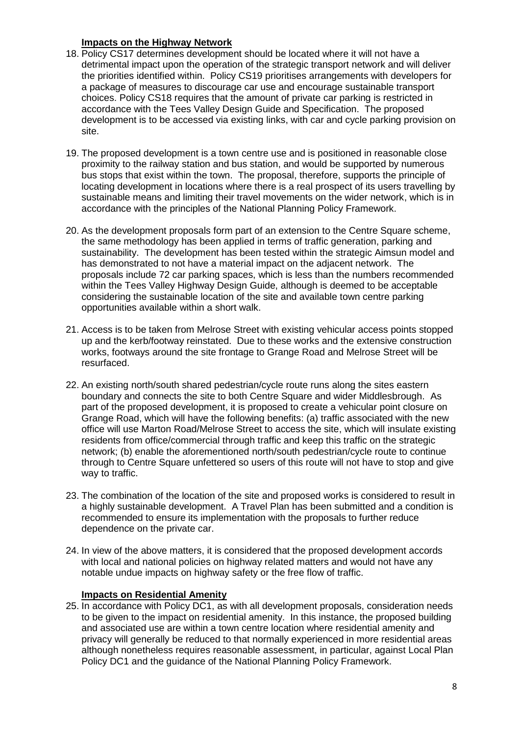## **Impacts on the Highway Network**

- 18. Policy CS17 determines development should be located where it will not have a detrimental impact upon the operation of the strategic transport network and will deliver the priorities identified within. Policy CS19 prioritises arrangements with developers for a package of measures to discourage car use and encourage sustainable transport choices. Policy CS18 requires that the amount of private car parking is restricted in accordance with the Tees Valley Design Guide and Specification. The proposed development is to be accessed via existing links, with car and cycle parking provision on site.
- 19. The proposed development is a town centre use and is positioned in reasonable close proximity to the railway station and bus station, and would be supported by numerous bus stops that exist within the town. The proposal, therefore, supports the principle of locating development in locations where there is a real prospect of its users travelling by sustainable means and limiting their travel movements on the wider network, which is in accordance with the principles of the National Planning Policy Framework.
- 20. As the development proposals form part of an extension to the Centre Square scheme. the same methodology has been applied in terms of traffic generation, parking and sustainability. The development has been tested within the strategic Aimsun model and has demonstrated to not have a material impact on the adjacent network. The proposals include 72 car parking spaces, which is less than the numbers recommended within the Tees Valley Highway Design Guide, although is deemed to be acceptable considering the sustainable location of the site and available town centre parking opportunities available within a short walk.
- 21. Access is to be taken from Melrose Street with existing vehicular access points stopped up and the kerb/footway reinstated. Due to these works and the extensive construction works, footways around the site frontage to Grange Road and Melrose Street will be resurfaced.
- 22. An existing north/south shared pedestrian/cycle route runs along the sites eastern boundary and connects the site to both Centre Square and wider Middlesbrough. As part of the proposed development, it is proposed to create a vehicular point closure on Grange Road, which will have the following benefits: (a) traffic associated with the new office will use Marton Road/Melrose Street to access the site, which will insulate existing residents from office/commercial through traffic and keep this traffic on the strategic network; (b) enable the aforementioned north/south pedestrian/cycle route to continue through to Centre Square unfettered so users of this route will not have to stop and give way to traffic.
- 23. The combination of the location of the site and proposed works is considered to result in a highly sustainable development. A Travel Plan has been submitted and a condition is recommended to ensure its implementation with the proposals to further reduce dependence on the private car.
- 24. In view of the above matters, it is considered that the proposed development accords with local and national policies on highway related matters and would not have any notable undue impacts on highway safety or the free flow of traffic.

# **Impacts on Residential Amenity**

25. In accordance with Policy DC1, as with all development proposals, consideration needs to be given to the impact on residential amenity. In this instance, the proposed building and associated use are within a town centre location where residential amenity and privacy will generally be reduced to that normally experienced in more residential areas although nonetheless requires reasonable assessment, in particular, against Local Plan Policy DC1 and the guidance of the National Planning Policy Framework.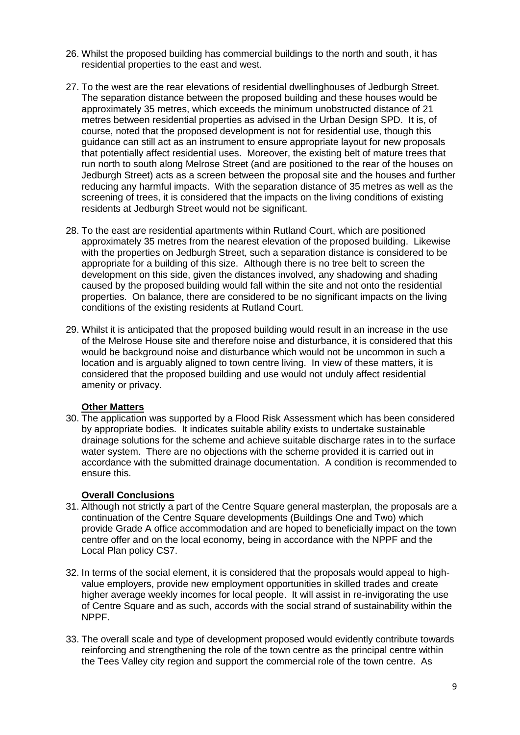- 26. Whilst the proposed building has commercial buildings to the north and south, it has residential properties to the east and west.
- 27. To the west are the rear elevations of residential dwellinghouses of Jedburgh Street. The separation distance between the proposed building and these houses would be approximately 35 metres, which exceeds the minimum unobstructed distance of 21 metres between residential properties as advised in the Urban Design SPD. It is, of course, noted that the proposed development is not for residential use, though this guidance can still act as an instrument to ensure appropriate layout for new proposals that potentially affect residential uses. Moreover, the existing belt of mature trees that run north to south along Melrose Street (and are positioned to the rear of the houses on Jedburgh Street) acts as a screen between the proposal site and the houses and further reducing any harmful impacts. With the separation distance of 35 metres as well as the screening of trees, it is considered that the impacts on the living conditions of existing residents at Jedburgh Street would not be significant.
- 28. To the east are residential apartments within Rutland Court, which are positioned approximately 35 metres from the nearest elevation of the proposed building. Likewise with the properties on Jedburgh Street, such a separation distance is considered to be appropriate for a building of this size. Although there is no tree belt to screen the development on this side, given the distances involved, any shadowing and shading caused by the proposed building would fall within the site and not onto the residential properties. On balance, there are considered to be no significant impacts on the living conditions of the existing residents at Rutland Court.
- 29. Whilst it is anticipated that the proposed building would result in an increase in the use of the Melrose House site and therefore noise and disturbance, it is considered that this would be background noise and disturbance which would not be uncommon in such a location and is arguably aligned to town centre living. In view of these matters, it is considered that the proposed building and use would not unduly affect residential amenity or privacy.

## **Other Matters**

30. The application was supported by a Flood Risk Assessment which has been considered by appropriate bodies. It indicates suitable ability exists to undertake sustainable drainage solutions for the scheme and achieve suitable discharge rates in to the surface water system. There are no objections with the scheme provided it is carried out in accordance with the submitted drainage documentation. A condition is recommended to ensure this.

## **Overall Conclusions**

- 31. Although not strictly a part of the Centre Square general masterplan, the proposals are a continuation of the Centre Square developments (Buildings One and Two) which provide Grade A office accommodation and are hoped to beneficially impact on the town centre offer and on the local economy, being in accordance with the NPPF and the Local Plan policy CS7.
- 32. In terms of the social element, it is considered that the proposals would appeal to highvalue employers, provide new employment opportunities in skilled trades and create higher average weekly incomes for local people. It will assist in re-invigorating the use of Centre Square and as such, accords with the social strand of sustainability within the NPPF.
- 33. The overall scale and type of development proposed would evidently contribute towards reinforcing and strengthening the role of the town centre as the principal centre within the Tees Valley city region and support the commercial role of the town centre. As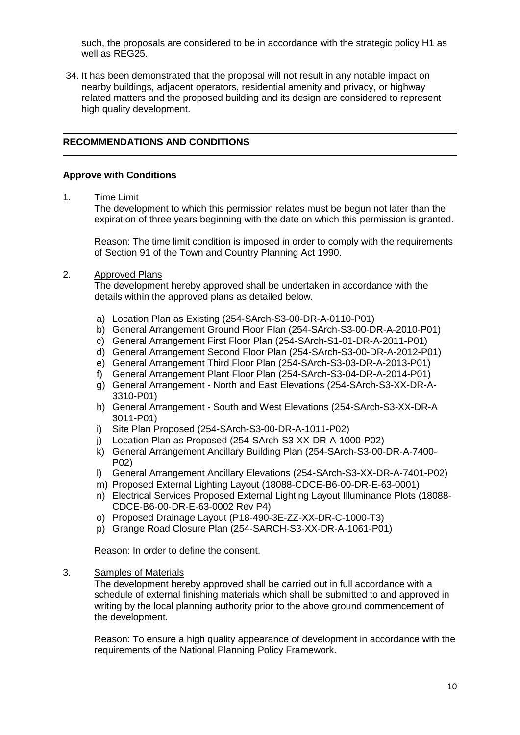such, the proposals are considered to be in accordance with the strategic policy H1 as well as REG25.

34. It has been demonstrated that the proposal will not result in any notable impact on nearby buildings, adjacent operators, residential amenity and privacy, or highway related matters and the proposed building and its design are considered to represent high quality development.

# **RECOMMENDATIONS AND CONDITIONS**

### **Approve with Conditions**

1. Time Limit

The development to which this permission relates must be begun not later than the expiration of three years beginning with the date on which this permission is granted.

Reason: The time limit condition is imposed in order to comply with the requirements of Section 91 of the Town and Country Planning Act 1990.

#### 2. Approved Plans

The development hereby approved shall be undertaken in accordance with the details within the approved plans as detailed below.

- a) Location Plan as Existing (254-SArch-S3-00-DR-A-0110-P01)
- b) General Arrangement Ground Floor Plan (254-SArch-S3-00-DR-A-2010-P01)
- c) General Arrangement First Floor Plan (254-SArch-S1-01-DR-A-2011-P01)
- d) General Arrangement Second Floor Plan (254-SArch-S3-00-DR-A-2012-P01)
- e) General Arrangement Third Floor Plan (254-SArch-S3-03-DR-A-2013-P01)
- f) General Arrangement Plant Floor Plan (254-SArch-S3-04-DR-A-2014-P01)
- g) General Arrangement North and East Elevations (254-SArch-S3-XX-DR-A-3310-P01)
- h) General Arrangement South and West Elevations (254-SArch-S3-XX-DR-A 3011-P01)
- i) Site Plan Proposed (254-SArch-S3-00-DR-A-1011-P02)
- j) Location Plan as Proposed (254-SArch-S3-XX-DR-A-1000-P02)
- k) General Arrangement Ancillary Building Plan (254-SArch-S3-00-DR-A-7400- P02)
- l) General Arrangement Ancillary Elevations (254-SArch-S3-XX-DR-A-7401-P02)
- m) Proposed External Lighting Layout (18088-CDCE-B6-00-DR-E-63-0001)
- n) Electrical Services Proposed External Lighting Layout Illuminance Plots (18088- CDCE-B6-00-DR-E-63-0002 Rev P4)
- o) Proposed Drainage Layout (P18-490-3E-ZZ-XX-DR-C-1000-T3)
- p) Grange Road Closure Plan (254-SARCH-S3-XX-DR-A-1061-P01)

Reason: In order to define the consent.

# 3. Samples of Materials

The development hereby approved shall be carried out in full accordance with a schedule of external finishing materials which shall be submitted to and approved in writing by the local planning authority prior to the above ground commencement of the development.

Reason: To ensure a high quality appearance of development in accordance with the requirements of the National Planning Policy Framework.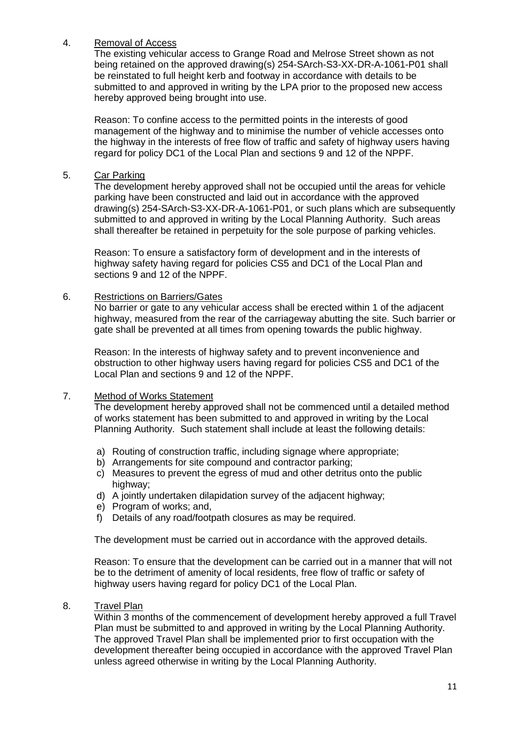# 4. Removal of Access

The existing vehicular access to Grange Road and Melrose Street shown as not being retained on the approved drawing(s) 254-SArch-S3-XX-DR-A-1061-P01 shall be reinstated to full height kerb and footway in accordance with details to be submitted to and approved in writing by the LPA prior to the proposed new access hereby approved being brought into use.

Reason: To confine access to the permitted points in the interests of good management of the highway and to minimise the number of vehicle accesses onto the highway in the interests of free flow of traffic and safety of highway users having regard for policy DC1 of the Local Plan and sections 9 and 12 of the NPPF.

5. Car Parking

The development hereby approved shall not be occupied until the areas for vehicle parking have been constructed and laid out in accordance with the approved drawing(s) 254-SArch-S3-XX-DR-A-1061-P01, or such plans which are subsequently submitted to and approved in writing by the Local Planning Authority. Such areas shall thereafter be retained in perpetuity for the sole purpose of parking vehicles.

Reason: To ensure a satisfactory form of development and in the interests of highway safety having regard for policies CS5 and DC1 of the Local Plan and sections 9 and 12 of the NPPF.

# 6. Restrictions on Barriers/Gates

No barrier or gate to any vehicular access shall be erected within 1 of the adjacent highway, measured from the rear of the carriageway abutting the site. Such barrier or gate shall be prevented at all times from opening towards the public highway.

Reason: In the interests of highway safety and to prevent inconvenience and obstruction to other highway users having regard for policies CS5 and DC1 of the Local Plan and sections 9 and 12 of the NPPF.

## 7. Method of Works Statement

The development hereby approved shall not be commenced until a detailed method of works statement has been submitted to and approved in writing by the Local Planning Authority. Such statement shall include at least the following details:

- a) Routing of construction traffic, including signage where appropriate;
- b) Arrangements for site compound and contractor parking;
- c) Measures to prevent the egress of mud and other detritus onto the public highway:
- d) A jointly undertaken dilapidation survey of the adjacent highway;
- e) Program of works; and,
- f) Details of any road/footpath closures as may be required.

The development must be carried out in accordance with the approved details.

Reason: To ensure that the development can be carried out in a manner that will not be to the detriment of amenity of local residents, free flow of traffic or safety of highway users having regard for policy DC1 of the Local Plan.

## 8. Travel Plan

Within 3 months of the commencement of development hereby approved a full Travel Plan must be submitted to and approved in writing by the Local Planning Authority. The approved Travel Plan shall be implemented prior to first occupation with the development thereafter being occupied in accordance with the approved Travel Plan unless agreed otherwise in writing by the Local Planning Authority.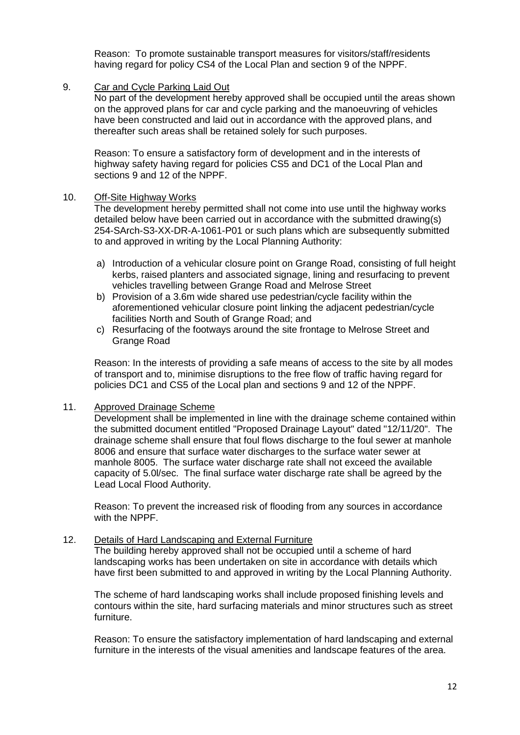Reason: To promote sustainable transport measures for visitors/staff/residents having regard for policy CS4 of the Local Plan and section 9 of the NPPF.

#### 9. Car and Cycle Parking Laid Out

No part of the development hereby approved shall be occupied until the areas shown on the approved plans for car and cycle parking and the manoeuvring of vehicles have been constructed and laid out in accordance with the approved plans, and thereafter such areas shall be retained solely for such purposes.

Reason: To ensure a satisfactory form of development and in the interests of highway safety having regard for policies CS5 and DC1 of the Local Plan and sections 9 and 12 of the NPPF.

#### 10. Off-Site Highway Works

The development hereby permitted shall not come into use until the highway works detailed below have been carried out in accordance with the submitted drawing(s) 254-SArch-S3-XX-DR-A-1061-P01 or such plans which are subsequently submitted to and approved in writing by the Local Planning Authority:

- a) Introduction of a vehicular closure point on Grange Road, consisting of full height kerbs, raised planters and associated signage, lining and resurfacing to prevent vehicles travelling between Grange Road and Melrose Street
- b) Provision of a 3.6m wide shared use pedestrian/cycle facility within the aforementioned vehicular closure point linking the adjacent pedestrian/cycle facilities North and South of Grange Road; and
- c) Resurfacing of the footways around the site frontage to Melrose Street and Grange Road

Reason: In the interests of providing a safe means of access to the site by all modes of transport and to, minimise disruptions to the free flow of traffic having regard for policies DC1 and CS5 of the Local plan and sections 9 and 12 of the NPPF.

## 11. Approved Drainage Scheme

Development shall be implemented in line with the drainage scheme contained within the submitted document entitled "Proposed Drainage Layout" dated "12/11/20". The drainage scheme shall ensure that foul flows discharge to the foul sewer at manhole 8006 and ensure that surface water discharges to the surface water sewer at manhole 8005. The surface water discharge rate shall not exceed the available capacity of 5.0l/sec. The final surface water discharge rate shall be agreed by the Lead Local Flood Authority.

Reason: To prevent the increased risk of flooding from any sources in accordance with the NPPF.

# 12. Details of Hard Landscaping and External Furniture

The building hereby approved shall not be occupied until a scheme of hard landscaping works has been undertaken on site in accordance with details which have first been submitted to and approved in writing by the Local Planning Authority.

The scheme of hard landscaping works shall include proposed finishing levels and contours within the site, hard surfacing materials and minor structures such as street furniture.

Reason: To ensure the satisfactory implementation of hard landscaping and external furniture in the interests of the visual amenities and landscape features of the area.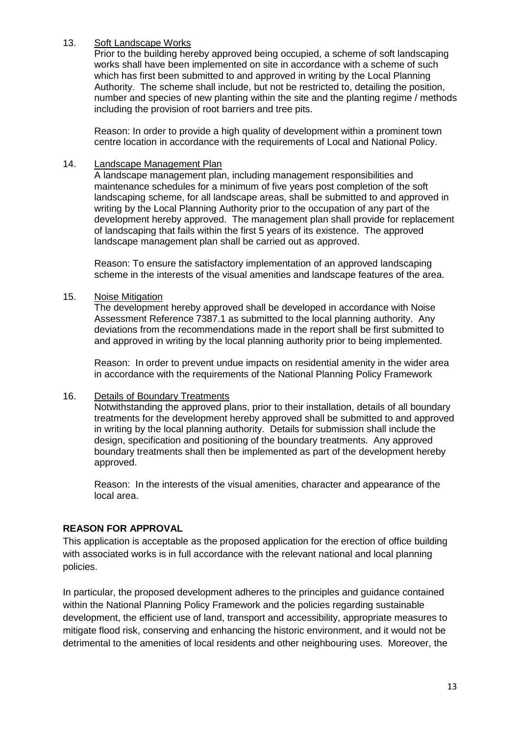# 13. Soft Landscape Works

Prior to the building hereby approved being occupied, a scheme of soft landscaping works shall have been implemented on site in accordance with a scheme of such which has first been submitted to and approved in writing by the Local Planning Authority. The scheme shall include, but not be restricted to, detailing the position, number and species of new planting within the site and the planting regime / methods including the provision of root barriers and tree pits.

Reason: In order to provide a high quality of development within a prominent town centre location in accordance with the requirements of Local and National Policy.

### 14. Landscape Management Plan

A landscape management plan, including management responsibilities and maintenance schedules for a minimum of five years post completion of the soft landscaping scheme, for all landscape areas, shall be submitted to and approved in writing by the Local Planning Authority prior to the occupation of any part of the development hereby approved. The management plan shall provide for replacement of landscaping that fails within the first 5 years of its existence. The approved landscape management plan shall be carried out as approved.

Reason: To ensure the satisfactory implementation of an approved landscaping scheme in the interests of the visual amenities and landscape features of the area.

15. Noise Mitigation

The development hereby approved shall be developed in accordance with Noise Assessment Reference 7387.1 as submitted to the local planning authority. Any deviations from the recommendations made in the report shall be first submitted to and approved in writing by the local planning authority prior to being implemented.

Reason: In order to prevent undue impacts on residential amenity in the wider area in accordance with the requirements of the National Planning Policy Framework

# 16. Details of Boundary Treatments

Notwithstanding the approved plans, prior to their installation, details of all boundary treatments for the development hereby approved shall be submitted to and approved in writing by the local planning authority. Details for submission shall include the design, specification and positioning of the boundary treatments. Any approved boundary treatments shall then be implemented as part of the development hereby approved.

Reason: In the interests of the visual amenities, character and appearance of the local area.

## **REASON FOR APPROVAL**

This application is acceptable as the proposed application for the erection of office building with associated works is in full accordance with the relevant national and local planning policies.

In particular, the proposed development adheres to the principles and guidance contained within the National Planning Policy Framework and the policies regarding sustainable development, the efficient use of land, transport and accessibility, appropriate measures to mitigate flood risk, conserving and enhancing the historic environment, and it would not be detrimental to the amenities of local residents and other neighbouring uses. Moreover, the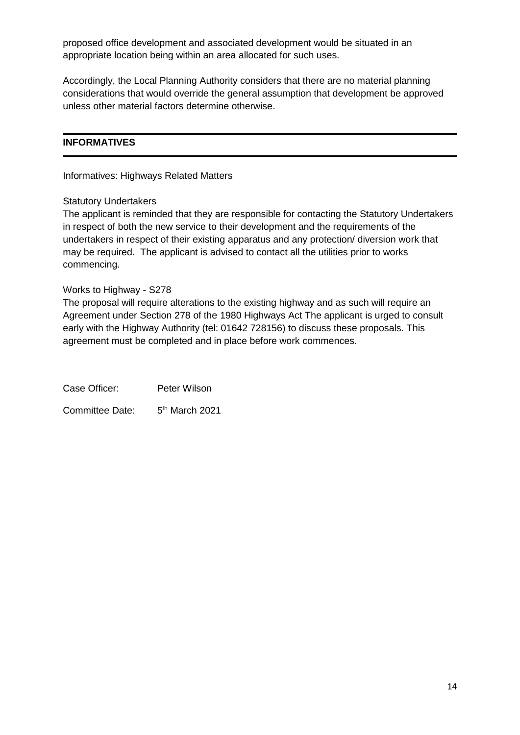proposed office development and associated development would be situated in an appropriate location being within an area allocated for such uses.

Accordingly, the Local Planning Authority considers that there are no material planning considerations that would override the general assumption that development be approved unless other material factors determine otherwise.

# **INFORMATIVES**

Informatives: Highways Related Matters

#### Statutory Undertakers

The applicant is reminded that they are responsible for contacting the Statutory Undertakers in respect of both the new service to their development and the requirements of the undertakers in respect of their existing apparatus and any protection/ diversion work that may be required. The applicant is advised to contact all the utilities prior to works commencing.

#### Works to Highway - S278

The proposal will require alterations to the existing highway and as such will require an Agreement under Section 278 of the 1980 Highways Act The applicant is urged to consult early with the Highway Authority (tel: 01642 728156) to discuss these proposals. This agreement must be completed and in place before work commences.

Case Officer: Peter Wilson Committee Date:  $5<sup>th</sup>$  March 2021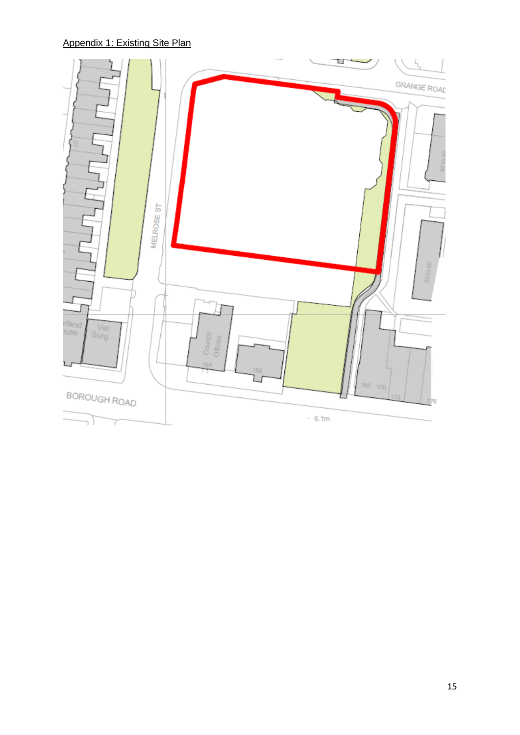# Appendix 1: Existing Site Plan

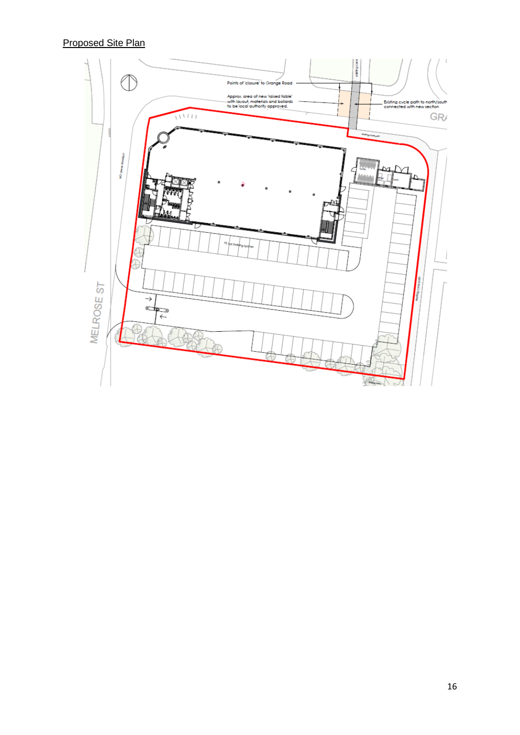Proposed Site Plan